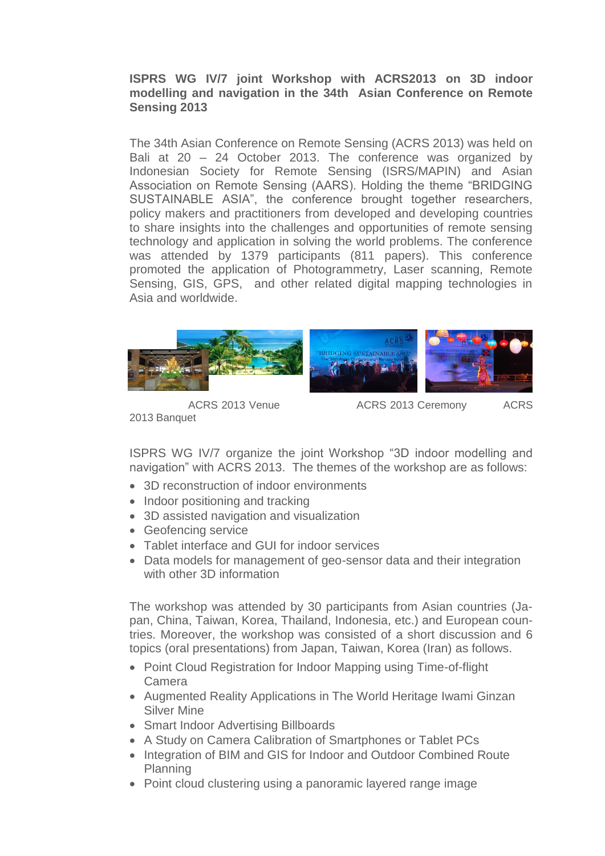**ISPRS WG IV/7 joint Workshop with ACRS2013 on 3D indoor modelling and navigation in the 34th Asian Conference on Remote Sensing 2013** 

The 34th Asian Conference on Remote Sensing (ACRS 2013) was held on Bali at 20 – 24 October 2013. The conference was organized by Indonesian Society for Remote Sensing (ISRS/MAPIN) and Asian Association on Remote Sensing (AARS). Holding the theme "BRIDGING SUSTAINABLE ASIA", the conference brought together researchers, policy makers and practitioners from developed and developing countries to share insights into the challenges and opportunities of remote sensing technology and application in solving the world problems. The conference was attended by 1379 participants (811 papers). This conference promoted the application of Photogrammetry, Laser scanning, Remote Sensing, GIS, GPS, and other related digital mapping technologies in Asia and worldwide.



2013 Banquet

ACRS 2013 Venue **ACRS 2013 Ceremony** ACRS

ISPRS WG IV/7 organize the joint Workshop "3D indoor modelling and navigation" with ACRS 2013. The themes of the workshop are as follows:

- 3D reconstruction of indoor environments
- Indoor positioning and tracking
- 3D assisted navigation and visualization
- Geofencing service
- Tablet interface and GUI for indoor services
- Data models for management of geo-sensor data and their integration with other 3D information

The workshop was attended by 30 participants from Asian countries (Japan, China, Taiwan, Korea, Thailand, Indonesia, etc.) and European countries. Moreover, the workshop was consisted of a short discussion and 6 topics (oral presentations) from Japan, Taiwan, Korea (Iran) as follows.

- Point Cloud Registration for Indoor Mapping using Time-of-flight Camera
- Augmented Reality Applications in The World Heritage Iwami Ginzan Silver Mine
- Smart Indoor Advertising Billboards
- A Study on Camera Calibration of Smartphones or Tablet PCs
- Integration of BIM and GIS for Indoor and Outdoor Combined Route Planning
- Point cloud clustering using a panoramic layered range image